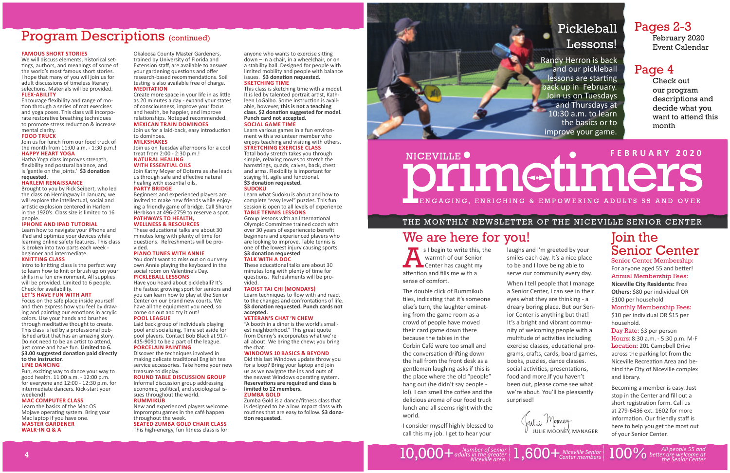Okaloosa County Master Gardeners, trained by University of Florida and Extension sta ff , are available to answer your gardening questions and offer research-based recommendations. Soil testing is also available free of charge. **MEDITATION**

Create more space in your life in as little as 20 minutes a day - expand your states of consciousness, improve your focus and health, be happier, and improve relationships. Notepad recommended. **MEXICAN TRAIN DOMINOES**

Join us for a laid-back, easy introduction to dominoes.

Join us on Tuesday afternoons for a cool treat from 2:00 - 2:30 p.m.! **NATURAL HEALING** 

#### **MILKSHAKES**

These educational talks are about 30 minutes long with plenty of time for ques Ɵ ons. Refreshments will be provided.

You don't want to miss out on our very own Annie playing the keyboard in the social room on Valentine's Day.

### **WITH ESSENTIAL OILS**

Join Kathy Moyer of Doterra as she leads us through safe and effective natural healing with essential oils. **PARTY BRIDGE**

 Beginners and experienced players are invited to make new friends while enjoying a friendly game of bridge. Call Sharon Herbison at 496-2759 to reserve a spot. **PATHWAYS TO HEALTH,** 

#### **WELLNESS & RESOURCES**

#### **PIANO TUNES WITH ANNIE**

anyone who wants to exercise sitting down – in a chair, in a wheelchair, or on a stability ball. Designed for people with limited mobility and people with balance issues. **\$3 dona Ɵ on requested. SKETCHING TIME**

### **PICKLEBALL LESSONS**

This class is sketching time with a model. It is led by talented portrait artist, Kathleen LoGalbo. Some instruction is avail able, however, **this is not a teaching class. \$2 dona Ɵ on suggested for model. Punch card not accepted. SOCIAL GAME TIME**

 Have you heard about pickleball? It's the fastest growing sport for seniors and you can learn how to play at the Senior Center on our brand new courts. We have all the equipment you need, so come on out and try it out! **POOL LEAGUE**

 Laid back group of individuals playing pool and socializing. Time set aside for pool players. Contact Bob Black at 917- 415-9091 to be a part of the league. **PORCELAIN PAINTING**

Group lessons with an International Olympic Committee trained coach with over 30 years of experienceto benefit beginners and experienced players who are looking to improve. Table tennis is one of the lowest injury causing sports. **\$3 dona Ɵ on requested**

These educational talks are about 30 minutes long with plenty of time for ques Ɵ ons. Refreshments will be provided.

#### **TAOIST TAI CHI (MONDAYS)**

 Discover the techniques involved in making delicate tradi Ɵ onal English tea service accessories. Take home your new treasure to display.

Learn techniques to flow with and react to the changes and confrontations of life. **\$3 dona Ɵ on requested. Punch cards not accepted.**

#### **ROUND TABLE DISCUSSION GROUP**

Informal discussion group addressing economic, political, and sociological issues throughout the world. **RUMMIKUB**

 New and experienced players welcome. Impromptu games in the café happen throughout the week. **SEATED ZUMBA GOLD CHAIR CLASS**

This high-energy, fun fitness class is for

Zumba Gold is a dance/fitness class that is designed to be a low impact class with routines that are easy to follow. **\$3 dona-Ɵ on requested.**



#### Encourage flexibility and range of motion through a series of mat exercises and yoga poses. This class will incorporate restorative breathing techniques to promote stress reduction & increase mental clarity.

Learn various games in a fun environment with a volunteer member who enjoys teaching and visiting with others. **STRETCHING EXERCISE CLASS**

Intro to knitting class is the perfect way to learn how to knit or brush up on your skills in a fun environment. All supplies will be provided. Limited to 6 people. Check for availability.

Total body stretch takes you through simple, relaxing moves to stretch the hamstrings, quads, calves, back, chest and arms. Flexibility is important for staying fit, agile and functional. **\$3 dona Ɵ on requested. SUDOKU**

 Learn what Sudoku is about and how to complete "easy level" puzzles. This fun session is open to all levels of experience **TABLE TENNIS LESSONS**

Fun, exciting way to dance your way to good health. 11:00 a.m. - 12:00 p.m. for everyone and 12:00 - 12:30 p.m. for intermediate dancers. Kick-start your weekend!

Learn the basics of the Mac OS Mojave opera Ɵ ng system. Bring your Mac laptop if you have one. **MASTER GARDENER WALK-IN Q & A** 

### **TALK WITH A DOC**

s I begin to write this, the warmth of our Senior Center has caught my attention and fills me with a sense of comfort.

#### **VETERAN'S CHAT 'N CHEW**

 "A booth in a diner is the world's smallest neighborhood." This great quote from Denny's incorporates what we're all about. We bring the chew; you bring the chat.

#### **WINDOWS 10 BASICS & BEYOND**

 Did this last Windows update throw you for a loop? Bring your laptop and join us as we navigate the ins and outs of the newest Windows operating system. **ReservaƟ ons are required and class is limited to 12 members.** 

> Julie Mooney. JULIE MOONEY, MANAGER

#### **ZUMBA GOLD**

# **FEBRUARY 2020**NICEVILLE<sup>O</sup> primetimers IENGAGING, ENRICHING & EMPOWERING ADULTS 55 AND OVER

## Program Descriptions (continued)

#### **FAMOUS SHORT STORIES**

 We will discuss elements, historical settings, authors, and meanings of some of the world's most famous short stories. I hope that many of you will join us for adult discussions of timeless literary selections. Materials will be provided. **FLEXͳABILITY**

#### **FOOD TRUCK**

 Join us for lunch from our food truck of the month from 11:00 a.m. - 1:30 p.m.! **HAPPY HEART YOGA**

Hatha Yoga class improves strength, flexibility and postural balance, and is 'gentle on the joints.' \$3 donation **requested.**

#### **HARLEM RENAISSANCE**

 Brought to you by Rick Seibert, who led the class on Hemingway in January, we will explore the intellectual, social and artistic explosion centered in Harlem in the 1920's. Class size is limited to 16 people.

#### **IPHONE AND IPAD TUTORIAL**

Learn how to navigate your iPhone and iPad and optimize your devices while learning online safety features. This class is broken into two parts each week beginner and intermediate.

#### **KNITTING CLASS**

#### **LET'S HAVE FUN WITH ART**

Focus on the safe place inside yourself and then express how you feel by drawing and painting our emotions in acrylic colors. Use your hands and brushes through meditative thought to create. This class is led by a professional published artist that has an amazing story. Do not need to be an artist to attend, just come and have fun. **Limited to 6. \$3.00 suggested dona Ɵ on paid directly to the instructor.**

#### **LINE DANCING**

#### **MAC COMPUTER CLASS**

# Pickleball Lessons!

Randy Herron is back and our pickleball lessons are starting back up in February. Join us on Tuesdays **and Thursdays at** 10:30 a.m. to learn the basics or to improve your game.

## THE MONTHLY NEWSLETTER OF THE NICEVILLE SENIOR CENTER

The double click of Rummikub tiles, indicating that it's someone else's turn, the laughter eminating from the game room as a crowd of people have moved their card game down there because the tables in the Corbin Café were too small and the conversation drifting down the hall from the front desk as a gentleman laughing asks if this is the place where the old "people" hang out (he didn't say people lol). I can smell the coffee and the delicious aroma of our food truck lunch and all seems right with the world.

I consider myself highly blessed to call this my job. I get to hear your

## Pages 2-3

February 2020 Event Calendar

# Page 4

Check out our program descriptions and decide what you want to attend this month

laughs and I'm greeted by your smiles each day. It's a nice place to be and I love being able to serve our community every day.

When I tell people that I manage a Senior Center, I can see in their eyes what they are thinking - a dreary boring place. But our Senior Center is anything but that! It's a bright and vibrant community of welcoming people with a multitude of activities including exercise classes, educational programs, cra Ō s, cards, board games, books, puzzles, dance classes. social activities, presentations, food and more.If you haven't been out, please come see what we're about. You'll be pleasantly surprised!



+*Center members Niceville Senior* 100% *All people 55 and be Ʃ er are welcome at the Senior Center*

# Join the Senior Center

Senior Center Membership: For anyone aged 55 and better! Annual Membership Fees: **Niceville City Residents:** Free **Others:** \$80 per individual OR \$100 per household Monthly Membership Fees: \$10 per individual OR \$15 per household.

Day Rate: \$3 per person Hours: 8:30 a.m. - 5:30 p.m. M-F Location: 201 Campbell Drive across the parking lot from the Niceville Recrea Ɵ on Area and behind the City of Niceville complex and library.

Becoming a member is easy. Just stop in the Center and fill out a short registration form. Call us at 279-6436 ext. 1602 for more information. Our friendly staff is here to help you get the most out of your Senior Center.

# We are here for you!